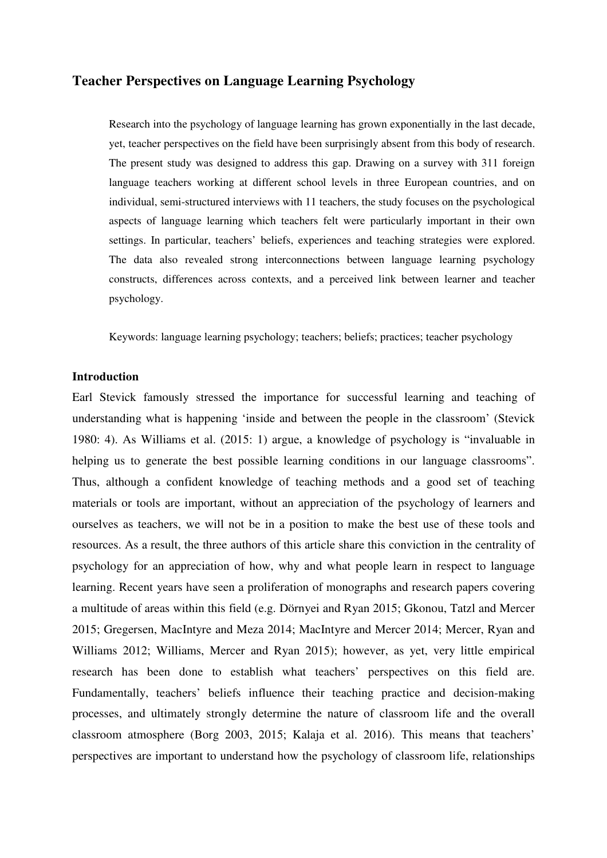# **Teacher Perspectives on Language Learning Psychology**

Research into the psychology of language learning has grown exponentially in the last decade, yet, teacher perspectives on the field have been surprisingly absent from this body of research. The present study was designed to address this gap. Drawing on a survey with 311 foreign language teachers working at different school levels in three European countries, and on individual, semi-structured interviews with 11 teachers, the study focuses on the psychological aspects of language learning which teachers felt were particularly important in their own settings. In particular, teachers' beliefs, experiences and teaching strategies were explored. The data also revealed strong interconnections between language learning psychology constructs, differences across contexts, and a perceived link between learner and teacher psychology.

Keywords: language learning psychology; teachers; beliefs; practices; teacher psychology

## **Introduction**

Earl Stevick famously stressed the importance for successful learning and teaching of understanding what is happening 'inside and between the people in the classroom' (Stevick 1980: 4). As Williams et al. (2015: 1) argue, a knowledge of psychology is "invaluable in helping us to generate the best possible learning conditions in our language classrooms". Thus, although a confident knowledge of teaching methods and a good set of teaching materials or tools are important, without an appreciation of the psychology of learners and ourselves as teachers, we will not be in a position to make the best use of these tools and resources. As a result, the three authors of this article share this conviction in the centrality of psychology for an appreciation of how, why and what people learn in respect to language learning. Recent years have seen a proliferation of monographs and research papers covering a multitude of areas within this field (e.g. Dörnyei and Ryan 2015; Gkonou, Tatzl and Mercer 2015; Gregersen, MacIntyre and Meza 2014; MacIntyre and Mercer 2014; Mercer, Ryan and Williams 2012; Williams, Mercer and Ryan 2015); however, as yet, very little empirical research has been done to establish what teachers' perspectives on this field are. Fundamentally, teachers' beliefs influence their teaching practice and decision-making processes, and ultimately strongly determine the nature of classroom life and the overall classroom atmosphere (Borg 2003, 2015; Kalaja et al. 2016). This means that teachers' perspectives are important to understand how the psychology of classroom life, relationships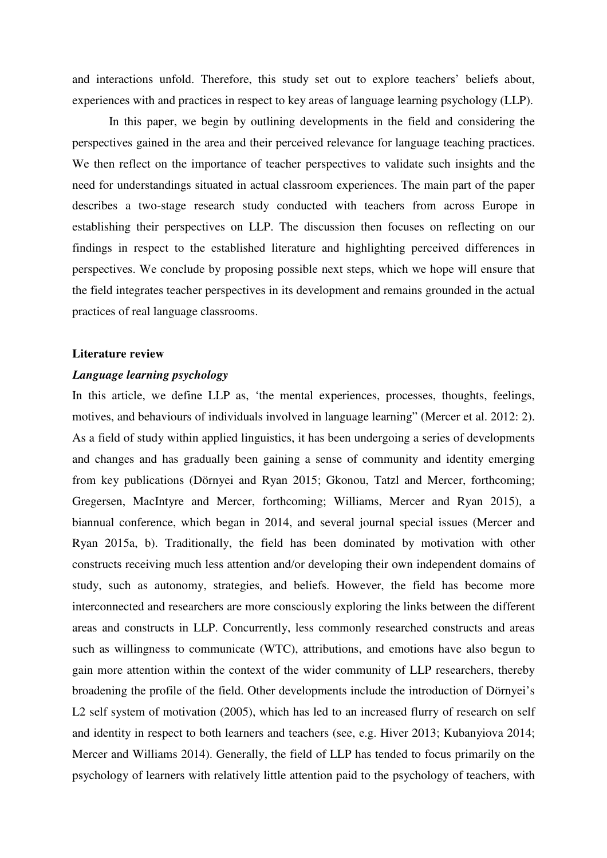and interactions unfold. Therefore, this study set out to explore teachers' beliefs about, experiences with and practices in respect to key areas of language learning psychology (LLP).

In this paper, we begin by outlining developments in the field and considering the perspectives gained in the area and their perceived relevance for language teaching practices. We then reflect on the importance of teacher perspectives to validate such insights and the need for understandings situated in actual classroom experiences. The main part of the paper describes a two-stage research study conducted with teachers from across Europe in establishing their perspectives on LLP. The discussion then focuses on reflecting on our findings in respect to the established literature and highlighting perceived differences in perspectives. We conclude by proposing possible next steps, which we hope will ensure that the field integrates teacher perspectives in its development and remains grounded in the actual practices of real language classrooms.

#### **Literature review**

## *Language learning psychology*

In this article, we define LLP as, 'the mental experiences, processes, thoughts, feelings, motives, and behaviours of individuals involved in language learning" (Mercer et al. 2012: 2). As a field of study within applied linguistics, it has been undergoing a series of developments and changes and has gradually been gaining a sense of community and identity emerging from key publications (Dörnyei and Ryan 2015; Gkonou, Tatzl and Mercer, forthcoming; Gregersen, MacIntyre and Mercer, forthcoming; Williams, Mercer and Ryan 2015), a biannual conference, which began in 2014, and several journal special issues (Mercer and Ryan 2015a, b). Traditionally, the field has been dominated by motivation with other constructs receiving much less attention and/or developing their own independent domains of study, such as autonomy, strategies, and beliefs. However, the field has become more interconnected and researchers are more consciously exploring the links between the different areas and constructs in LLP. Concurrently, less commonly researched constructs and areas such as willingness to communicate (WTC), attributions, and emotions have also begun to gain more attention within the context of the wider community of LLP researchers, thereby broadening the profile of the field. Other developments include the introduction of Dörnyei's L2 self system of motivation (2005), which has led to an increased flurry of research on self and identity in respect to both learners and teachers (see, e.g. Hiver 2013; Kubanyiova 2014; Mercer and Williams 2014). Generally, the field of LLP has tended to focus primarily on the psychology of learners with relatively little attention paid to the psychology of teachers, with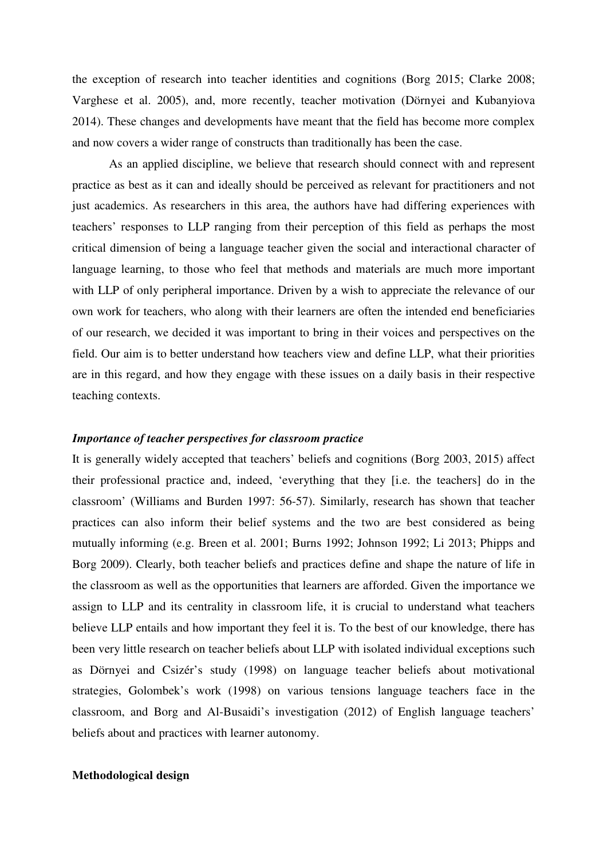the exception of research into teacher identities and cognitions (Borg 2015; Clarke 2008; Varghese et al. 2005), and, more recently, teacher motivation (Dörnyei and Kubanyiova 2014). These changes and developments have meant that the field has become more complex and now covers a wider range of constructs than traditionally has been the case.

As an applied discipline, we believe that research should connect with and represent practice as best as it can and ideally should be perceived as relevant for practitioners and not just academics. As researchers in this area, the authors have had differing experiences with teachers' responses to LLP ranging from their perception of this field as perhaps the most critical dimension of being a language teacher given the social and interactional character of language learning, to those who feel that methods and materials are much more important with LLP of only peripheral importance. Driven by a wish to appreciate the relevance of our own work for teachers, who along with their learners are often the intended end beneficiaries of our research, we decided it was important to bring in their voices and perspectives on the field. Our aim is to better understand how teachers view and define LLP, what their priorities are in this regard, and how they engage with these issues on a daily basis in their respective teaching contexts.

## *Importance of teacher perspectives for classroom practice*

It is generally widely accepted that teachers' beliefs and cognitions (Borg 2003, 2015) affect their professional practice and, indeed, 'everything that they [i.e. the teachers] do in the classroom' (Williams and Burden 1997: 56-57). Similarly, research has shown that teacher practices can also inform their belief systems and the two are best considered as being mutually informing (e.g. Breen et al. 2001; Burns 1992; Johnson 1992; Li 2013; Phipps and Borg 2009). Clearly, both teacher beliefs and practices define and shape the nature of life in the classroom as well as the opportunities that learners are afforded. Given the importance we assign to LLP and its centrality in classroom life, it is crucial to understand what teachers believe LLP entails and how important they feel it is. To the best of our knowledge, there has been very little research on teacher beliefs about LLP with isolated individual exceptions such as Dörnyei and Csizér's study (1998) on language teacher beliefs about motivational strategies, Golombek's work (1998) on various tensions language teachers face in the classroom, and Borg and Al-Busaidi's investigation (2012) of English language teachers' beliefs about and practices with learner autonomy.

### **Methodological design**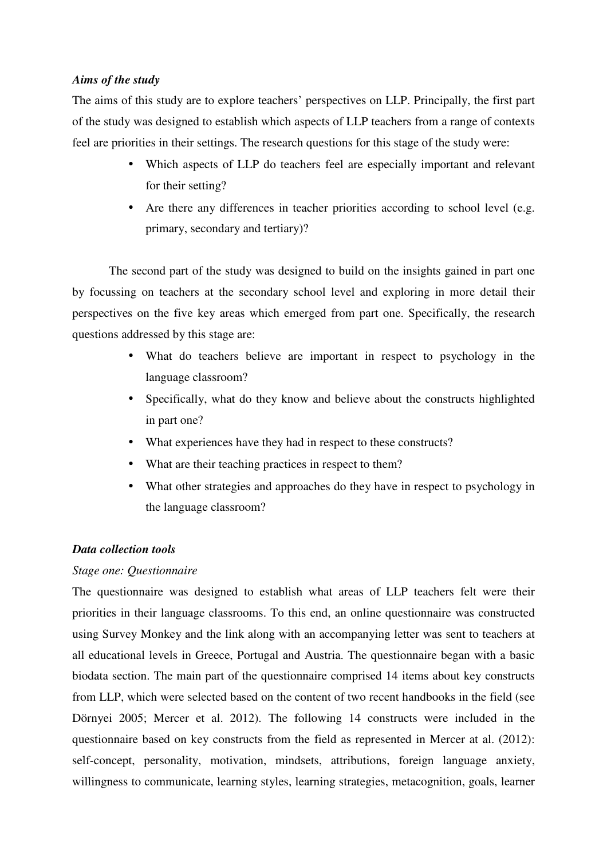# *Aims of the study*

The aims of this study are to explore teachers' perspectives on LLP. Principally, the first part of the study was designed to establish which aspects of LLP teachers from a range of contexts feel are priorities in their settings. The research questions for this stage of the study were:

- Which aspects of LLP do teachers feel are especially important and relevant for their setting?
- Are there any differences in teacher priorities according to school level (e.g. primary, secondary and tertiary)?

The second part of the study was designed to build on the insights gained in part one by focussing on teachers at the secondary school level and exploring in more detail their perspectives on the five key areas which emerged from part one. Specifically, the research questions addressed by this stage are:

- What do teachers believe are important in respect to psychology in the language classroom?
- Specifically, what do they know and believe about the constructs highlighted in part one?
- What experiences have they had in respect to these constructs?
- What are their teaching practices in respect to them?
- What other strategies and approaches do they have in respect to psychology in the language classroom?

# *Data collection tools*

# *Stage one: Questionnaire*

The questionnaire was designed to establish what areas of LLP teachers felt were their priorities in their language classrooms. To this end, an online questionnaire was constructed using Survey Monkey and the link along with an accompanying letter was sent to teachers at all educational levels in Greece, Portugal and Austria. The questionnaire began with a basic biodata section. The main part of the questionnaire comprised 14 items about key constructs from LLP, which were selected based on the content of two recent handbooks in the field (see Dörnyei 2005; Mercer et al. 2012). The following 14 constructs were included in the questionnaire based on key constructs from the field as represented in Mercer at al. (2012): self-concept, personality, motivation, mindsets, attributions, foreign language anxiety, willingness to communicate, learning styles, learning strategies, metacognition, goals, learner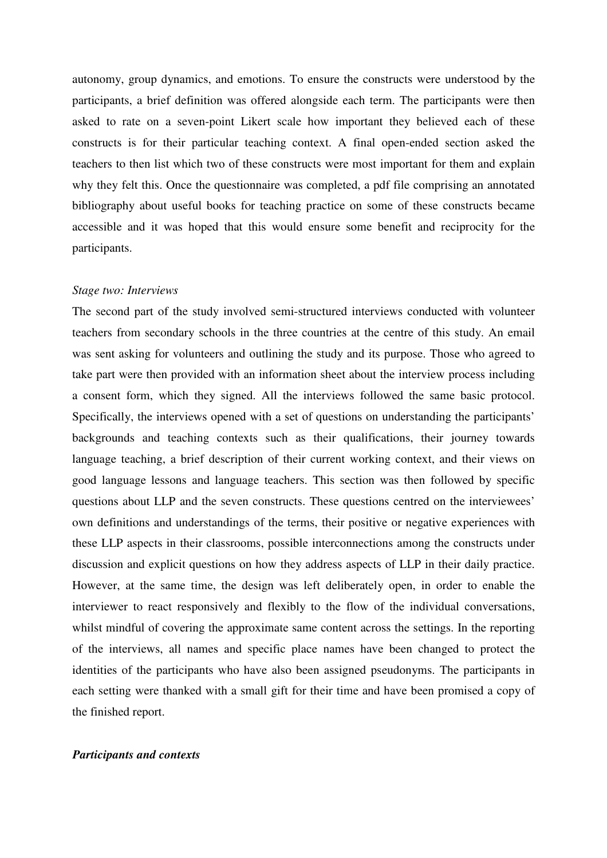autonomy, group dynamics, and emotions. To ensure the constructs were understood by the participants, a brief definition was offered alongside each term. The participants were then asked to rate on a seven-point Likert scale how important they believed each of these constructs is for their particular teaching context. A final open-ended section asked the teachers to then list which two of these constructs were most important for them and explain why they felt this. Once the questionnaire was completed, a pdf file comprising an annotated bibliography about useful books for teaching practice on some of these constructs became accessible and it was hoped that this would ensure some benefit and reciprocity for the participants.

#### *Stage two: Interviews*

The second part of the study involved semi-structured interviews conducted with volunteer teachers from secondary schools in the three countries at the centre of this study. An email was sent asking for volunteers and outlining the study and its purpose. Those who agreed to take part were then provided with an information sheet about the interview process including a consent form, which they signed. All the interviews followed the same basic protocol. Specifically, the interviews opened with a set of questions on understanding the participants' backgrounds and teaching contexts such as their qualifications, their journey towards language teaching, a brief description of their current working context, and their views on good language lessons and language teachers. This section was then followed by specific questions about LLP and the seven constructs. These questions centred on the interviewees' own definitions and understandings of the terms, their positive or negative experiences with these LLP aspects in their classrooms, possible interconnections among the constructs under discussion and explicit questions on how they address aspects of LLP in their daily practice. However, at the same time, the design was left deliberately open, in order to enable the interviewer to react responsively and flexibly to the flow of the individual conversations, whilst mindful of covering the approximate same content across the settings. In the reporting of the interviews, all names and specific place names have been changed to protect the identities of the participants who have also been assigned pseudonyms. The participants in each setting were thanked with a small gift for their time and have been promised a copy of the finished report.

## *Participants and contexts*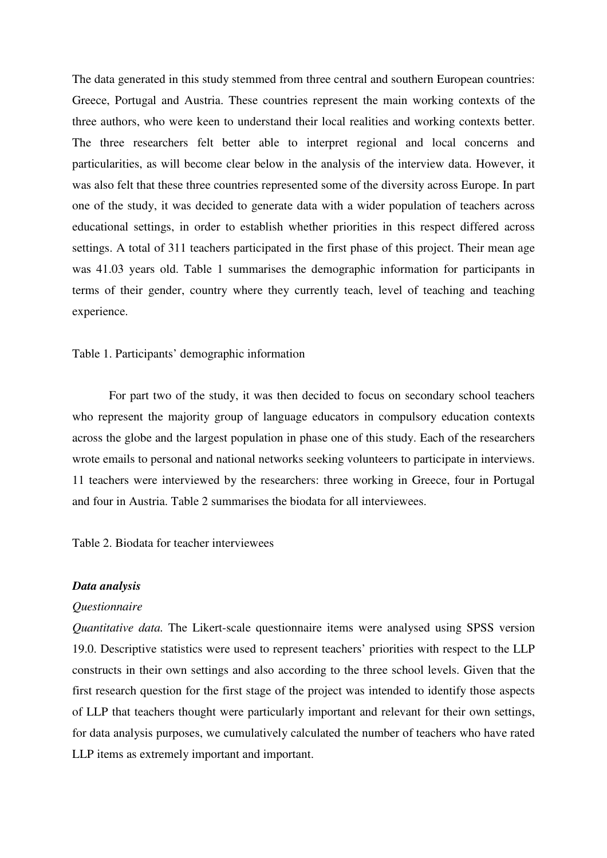The data generated in this study stemmed from three central and southern European countries: Greece, Portugal and Austria. These countries represent the main working contexts of the three authors, who were keen to understand their local realities and working contexts better. The three researchers felt better able to interpret regional and local concerns and particularities, as will become clear below in the analysis of the interview data. However, it was also felt that these three countries represented some of the diversity across Europe. In part one of the study, it was decided to generate data with a wider population of teachers across educational settings, in order to establish whether priorities in this respect differed across settings. A total of 311 teachers participated in the first phase of this project. Their mean age was 41.03 years old. Table 1 summarises the demographic information for participants in terms of their gender, country where they currently teach, level of teaching and teaching experience.

## Table 1. Participants' demographic information

For part two of the study, it was then decided to focus on secondary school teachers who represent the majority group of language educators in compulsory education contexts across the globe and the largest population in phase one of this study. Each of the researchers wrote emails to personal and national networks seeking volunteers to participate in interviews. 11 teachers were interviewed by the researchers: three working in Greece, four in Portugal and four in Austria. Table 2 summarises the biodata for all interviewees.

Table 2. Biodata for teacher interviewees

## *Data analysis*

### *Questionnaire*

*Quantitative data.* The Likert-scale questionnaire items were analysed using SPSS version 19.0. Descriptive statistics were used to represent teachers' priorities with respect to the LLP constructs in their own settings and also according to the three school levels. Given that the first research question for the first stage of the project was intended to identify those aspects of LLP that teachers thought were particularly important and relevant for their own settings, for data analysis purposes, we cumulatively calculated the number of teachers who have rated LLP items as extremely important and important.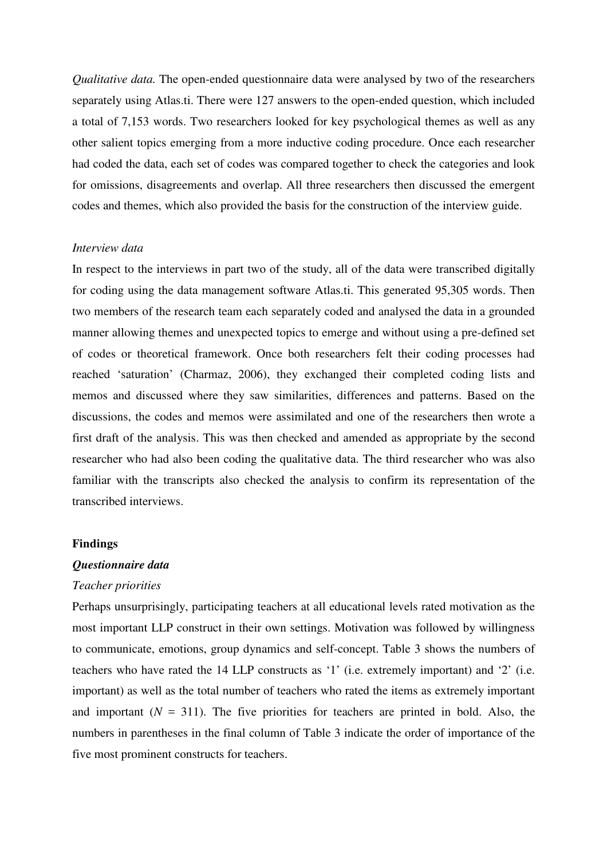*Qualitative data.* The open-ended questionnaire data were analysed by two of the researchers separately using Atlas.ti. There were 127 answers to the open-ended question, which included a total of 7,153 words. Two researchers looked for key psychological themes as well as any other salient topics emerging from a more inductive coding procedure. Once each researcher had coded the data, each set of codes was compared together to check the categories and look for omissions, disagreements and overlap. All three researchers then discussed the emergent codes and themes, which also provided the basis for the construction of the interview guide.

### *Interview data*

In respect to the interviews in part two of the study, all of the data were transcribed digitally for coding using the data management software Atlas.ti. This generated 95,305 words. Then two members of the research team each separately coded and analysed the data in a grounded manner allowing themes and unexpected topics to emerge and without using a pre-defined set of codes or theoretical framework. Once both researchers felt their coding processes had reached 'saturation' (Charmaz, 2006), they exchanged their completed coding lists and memos and discussed where they saw similarities, differences and patterns. Based on the discussions, the codes and memos were assimilated and one of the researchers then wrote a first draft of the analysis. This was then checked and amended as appropriate by the second researcher who had also been coding the qualitative data. The third researcher who was also familiar with the transcripts also checked the analysis to confirm its representation of the transcribed interviews.

#### **Findings**

#### *Questionnaire data*

#### *Teacher priorities*

Perhaps unsurprisingly, participating teachers at all educational levels rated motivation as the most important LLP construct in their own settings. Motivation was followed by willingness to communicate, emotions, group dynamics and self-concept. Table 3 shows the numbers of teachers who have rated the 14 LLP constructs as '1' (i.e. extremely important) and '2' (i.e. important) as well as the total number of teachers who rated the items as extremely important and important  $(N = 311)$ . The five priorities for teachers are printed in bold. Also, the numbers in parentheses in the final column of Table 3 indicate the order of importance of the five most prominent constructs for teachers.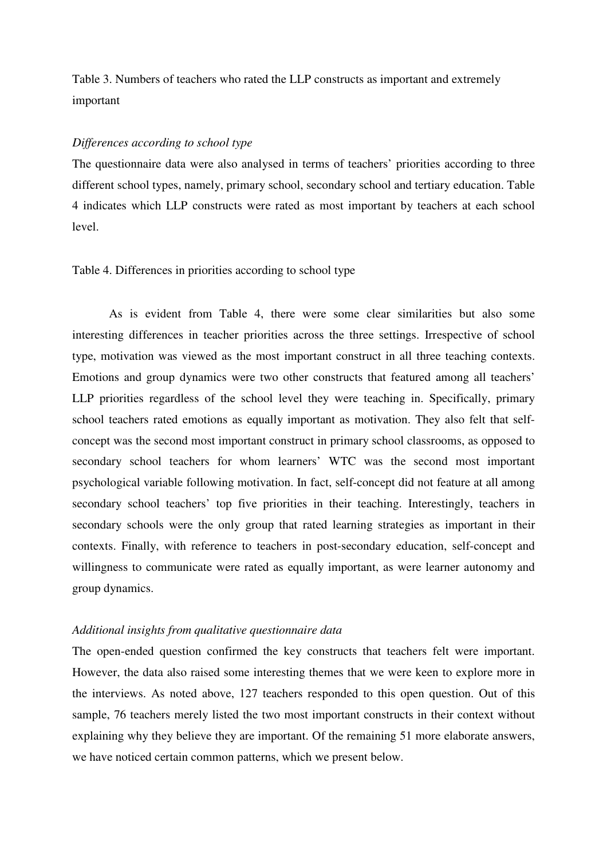Table 3. Numbers of teachers who rated the LLP constructs as important and extremely important

## *Differences according to school type*

The questionnaire data were also analysed in terms of teachers' priorities according to three different school types, namely, primary school, secondary school and tertiary education. Table 4 indicates which LLP constructs were rated as most important by teachers at each school level.

## Table 4. Differences in priorities according to school type

As is evident from Table 4, there were some clear similarities but also some interesting differences in teacher priorities across the three settings. Irrespective of school type, motivation was viewed as the most important construct in all three teaching contexts. Emotions and group dynamics were two other constructs that featured among all teachers' LLP priorities regardless of the school level they were teaching in. Specifically, primary school teachers rated emotions as equally important as motivation. They also felt that selfconcept was the second most important construct in primary school classrooms, as opposed to secondary school teachers for whom learners' WTC was the second most important psychological variable following motivation. In fact, self-concept did not feature at all among secondary school teachers' top five priorities in their teaching. Interestingly, teachers in secondary schools were the only group that rated learning strategies as important in their contexts. Finally, with reference to teachers in post-secondary education, self-concept and willingness to communicate were rated as equally important, as were learner autonomy and group dynamics.

## *Additional insights from qualitative questionnaire data*

The open-ended question confirmed the key constructs that teachers felt were important. However, the data also raised some interesting themes that we were keen to explore more in the interviews. As noted above, 127 teachers responded to this open question. Out of this sample, 76 teachers merely listed the two most important constructs in their context without explaining why they believe they are important. Of the remaining 51 more elaborate answers, we have noticed certain common patterns, which we present below.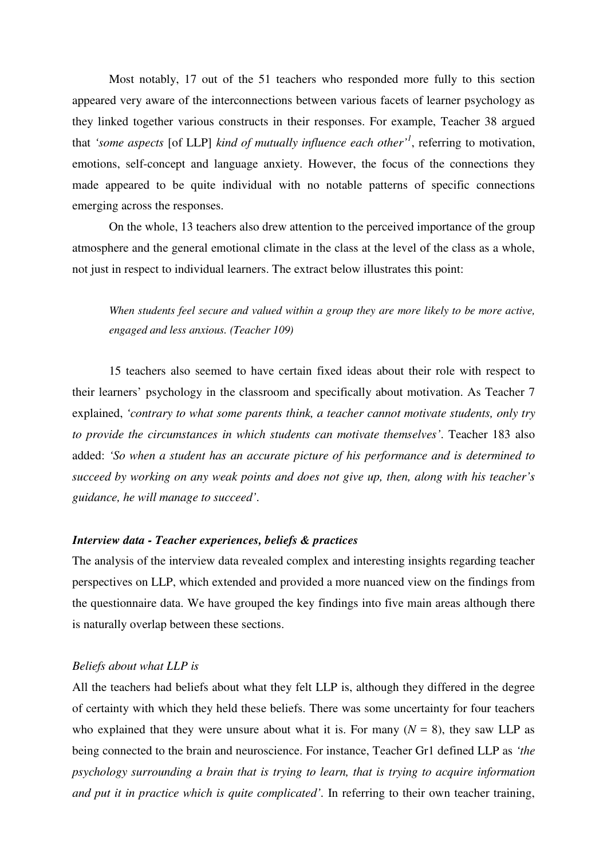Most notably, 17 out of the 51 teachers who responded more fully to this section appeared very aware of the interconnections between various facets of learner psychology as they linked together various constructs in their responses. For example, Teacher 38 argued that *'some aspects* [of LLP] *kind of mutually influence each other'<sup>1</sup>* , referring to motivation, emotions, self-concept and language anxiety. However, the focus of the connections they made appeared to be quite individual with no notable patterns of specific connections emerging across the responses.

On the whole, 13 teachers also drew attention to the perceived importance of the group atmosphere and the general emotional climate in the class at the level of the class as a whole, not just in respect to individual learners. The extract below illustrates this point:

*When students feel secure and valued within a group they are more likely to be more active, engaged and less anxious. (Teacher 109)* 

15 teachers also seemed to have certain fixed ideas about their role with respect to their learners' psychology in the classroom and specifically about motivation. As Teacher 7 explained, *'contrary to what some parents think, a teacher cannot motivate students, only try to provide the circumstances in which students can motivate themselves'*. Teacher 183 also added: *'So when a student has an accurate picture of his performance and is determined to succeed by working on any weak points and does not give up, then, along with his teacher's guidance, he will manage to succeed'*.

#### *Interview data - Teacher experiences, beliefs & practices*

The analysis of the interview data revealed complex and interesting insights regarding teacher perspectives on LLP, which extended and provided a more nuanced view on the findings from the questionnaire data. We have grouped the key findings into five main areas although there is naturally overlap between these sections.

## *Beliefs about what LLP is*

All the teachers had beliefs about what they felt LLP is, although they differed in the degree of certainty with which they held these beliefs. There was some uncertainty for four teachers who explained that they were unsure about what it is. For many  $(N = 8)$ , they saw LLP as being connected to the brain and neuroscience. For instance, Teacher Gr1 defined LLP as *'the psychology surrounding a brain that is trying to learn, that is trying to acquire information and put it in practice which is quite complicated'.* In referring to their own teacher training,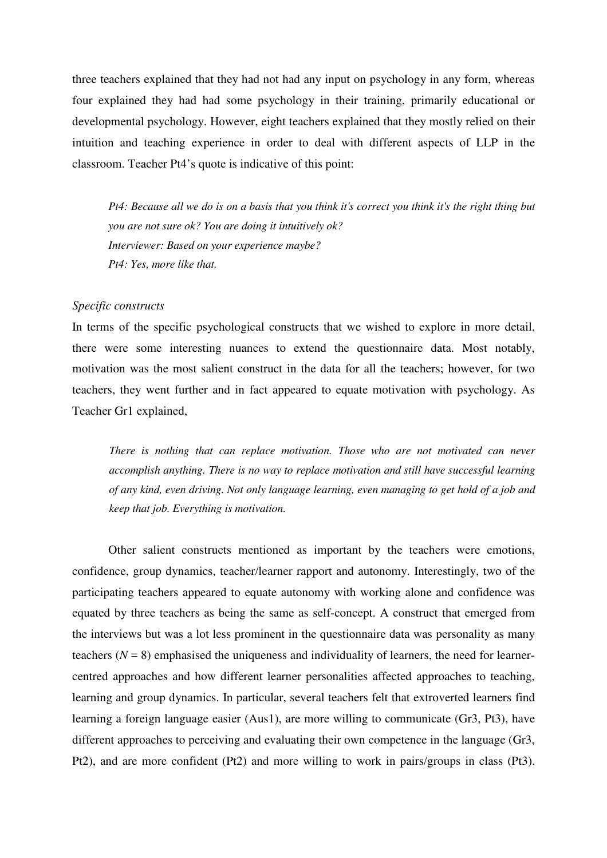three teachers explained that they had not had any input on psychology in any form, whereas four explained they had had some psychology in their training, primarily educational or developmental psychology. However, eight teachers explained that they mostly relied on their intuition and teaching experience in order to deal with different aspects of LLP in the classroom. Teacher Pt4's quote is indicative of this point:

*Pt4: Because all we do is on a basis that you think it's correct you think it's the right thing but you are not sure ok? You are doing it intuitively ok? Interviewer: Based on your experience maybe? Pt4: Yes, more like that.* 

## *Specific constructs*

In terms of the specific psychological constructs that we wished to explore in more detail, there were some interesting nuances to extend the questionnaire data. Most notably, motivation was the most salient construct in the data for all the teachers; however, for two teachers, they went further and in fact appeared to equate motivation with psychology. As Teacher Gr1 explained,

*There is nothing that can replace motivation. Those who are not motivated can never accomplish anything. There is no way to replace motivation and still have successful learning of any kind, even driving. Not only language learning, even managing to get hold of a job and keep that job. Everything is motivation.* 

Other salient constructs mentioned as important by the teachers were emotions, confidence, group dynamics, teacher/learner rapport and autonomy. Interestingly, two of the participating teachers appeared to equate autonomy with working alone and confidence was equated by three teachers as being the same as self-concept. A construct that emerged from the interviews but was a lot less prominent in the questionnaire data was personality as many teachers  $(N = 8)$  emphasised the uniqueness and individuality of learners, the need for learnercentred approaches and how different learner personalities affected approaches to teaching, learning and group dynamics. In particular, several teachers felt that extroverted learners find learning a foreign language easier (Aus1), are more willing to communicate (Gr3, Pt3), have different approaches to perceiving and evaluating their own competence in the language (Gr3, Pt2), and are more confident (Pt2) and more willing to work in pairs/groups in class (Pt3).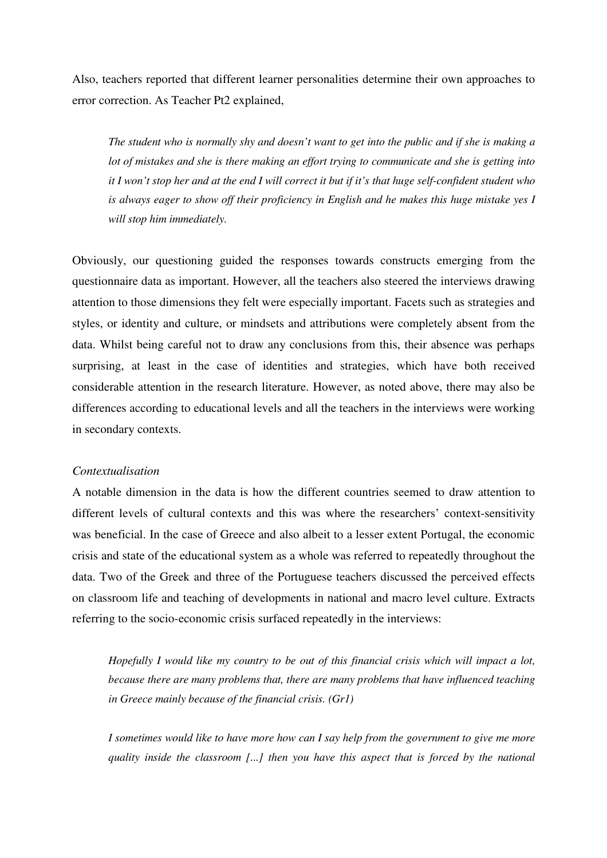Also, teachers reported that different learner personalities determine their own approaches to error correction. As Teacher Pt2 explained,

*The student who is normally shy and doesn't want to get into the public and if she is making a lot of mistakes and she is there making an effort trying to communicate and she is getting into it I won't stop her and at the end I will correct it but if it's that huge self-confident student who is always eager to show off their proficiency in English and he makes this huge mistake yes I will stop him immediately.* 

Obviously, our questioning guided the responses towards constructs emerging from the questionnaire data as important. However, all the teachers also steered the interviews drawing attention to those dimensions they felt were especially important. Facets such as strategies and styles, or identity and culture, or mindsets and attributions were completely absent from the data. Whilst being careful not to draw any conclusions from this, their absence was perhaps surprising, at least in the case of identities and strategies, which have both received considerable attention in the research literature. However, as noted above, there may also be differences according to educational levels and all the teachers in the interviews were working in secondary contexts.

#### *Contextualisation*

A notable dimension in the data is how the different countries seemed to draw attention to different levels of cultural contexts and this was where the researchers' context-sensitivity was beneficial. In the case of Greece and also albeit to a lesser extent Portugal, the economic crisis and state of the educational system as a whole was referred to repeatedly throughout the data. Two of the Greek and three of the Portuguese teachers discussed the perceived effects on classroom life and teaching of developments in national and macro level culture. Extracts referring to the socio-economic crisis surfaced repeatedly in the interviews:

*Hopefully I would like my country to be out of this financial crisis which will impact a lot, because there are many problems that, there are many problems that have influenced teaching in Greece mainly because of the financial crisis. (Gr1)* 

*I sometimes would like to have more how can I say help from the government to give me more quality inside the classroom [...] then you have this aspect that is forced by the national*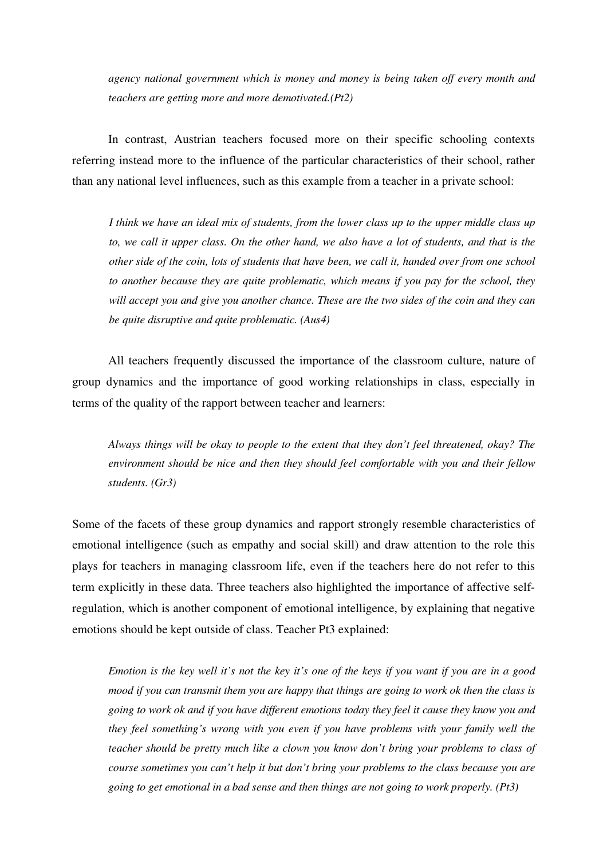*agency national government which is money and money is being taken off every month and teachers are getting more and more demotivated.(Pt2)* 

In contrast, Austrian teachers focused more on their specific schooling contexts referring instead more to the influence of the particular characteristics of their school, rather than any national level influences, such as this example from a teacher in a private school:

*I think we have an ideal mix of students, from the lower class up to the upper middle class up to, we call it upper class. On the other hand, we also have a lot of students, and that is the other side of the coin, lots of students that have been, we call it, handed over from one school to another because they are quite problematic, which means if you pay for the school, they will accept you and give you another chance. These are the two sides of the coin and they can be quite disruptive and quite problematic. (Aus4)* 

All teachers frequently discussed the importance of the classroom culture, nature of group dynamics and the importance of good working relationships in class, especially in terms of the quality of the rapport between teacher and learners:

*Always things will be okay to people to the extent that they don't feel threatened, okay? The environment should be nice and then they should feel comfortable with you and their fellow students. (Gr3)* 

Some of the facets of these group dynamics and rapport strongly resemble characteristics of emotional intelligence (such as empathy and social skill) and draw attention to the role this plays for teachers in managing classroom life, even if the teachers here do not refer to this term explicitly in these data. Three teachers also highlighted the importance of affective selfregulation, which is another component of emotional intelligence, by explaining that negative emotions should be kept outside of class. Teacher Pt3 explained:

*Emotion is the key well it's not the key it's one of the keys if you want if you are in a good mood if you can transmit them you are happy that things are going to work ok then the class is going to work ok and if you have different emotions today they feel it cause they know you and they feel something's wrong with you even if you have problems with your family well the teacher should be pretty much like a clown you know don't bring your problems to class of course sometimes you can't help it but don't bring your problems to the class because you are going to get emotional in a bad sense and then things are not going to work properly. (Pt3)*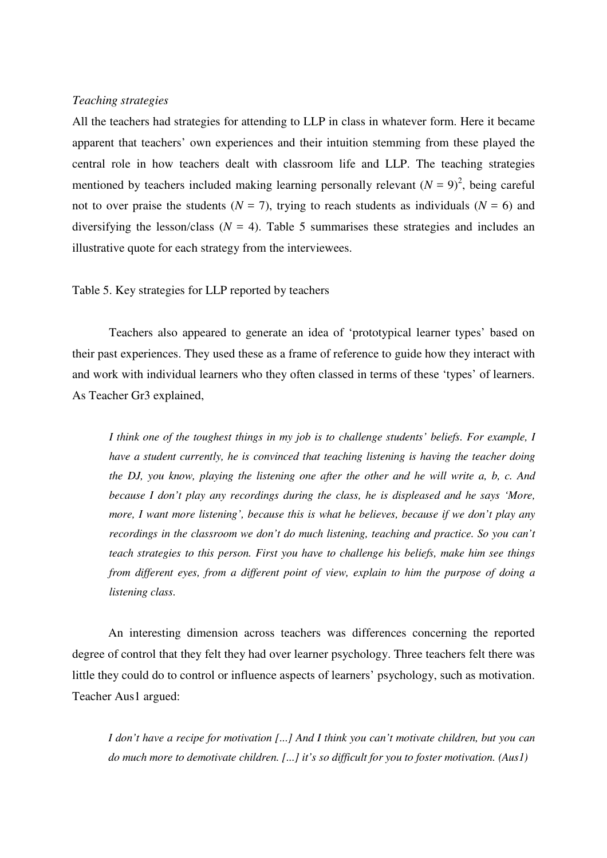## *Teaching strategies*

All the teachers had strategies for attending to LLP in class in whatever form. Here it became apparent that teachers' own experiences and their intuition stemming from these played the central role in how teachers dealt with classroom life and LLP. The teaching strategies mentioned by teachers included making learning personally relevant  $(N = 9)^2$ , being careful not to over praise the students ( $N = 7$ ), trying to reach students as individuals ( $N = 6$ ) and diversifying the lesson/class  $(N = 4)$ . Table 5 summarises these strategies and includes an illustrative quote for each strategy from the interviewees.

## Table 5. Key strategies for LLP reported by teachers

Teachers also appeared to generate an idea of 'prototypical learner types' based on their past experiences. They used these as a frame of reference to guide how they interact with and work with individual learners who they often classed in terms of these 'types' of learners. As Teacher Gr3 explained,

*I think one of the toughest things in my job is to challenge students' beliefs. For example, I have a student currently, he is convinced that teaching listening is having the teacher doing the DJ, you know, playing the listening one after the other and he will write a, b, c. And because I don't play any recordings during the class, he is displeased and he says 'More, more, I want more listening', because this is what he believes, because if we don't play any recordings in the classroom we don't do much listening, teaching and practice. So you can't teach strategies to this person. First you have to challenge his beliefs, make him see things from different eyes, from a different point of view, explain to him the purpose of doing a listening class.* 

An interesting dimension across teachers was differences concerning the reported degree of control that they felt they had over learner psychology. Three teachers felt there was little they could do to control or influence aspects of learners' psychology, such as motivation. Teacher Aus1 argued:

*I don't have a recipe for motivation [...] And I think you can't motivate children, but you can do much more to demotivate children. [...] it's so difficult for you to foster motivation. (Aus1)*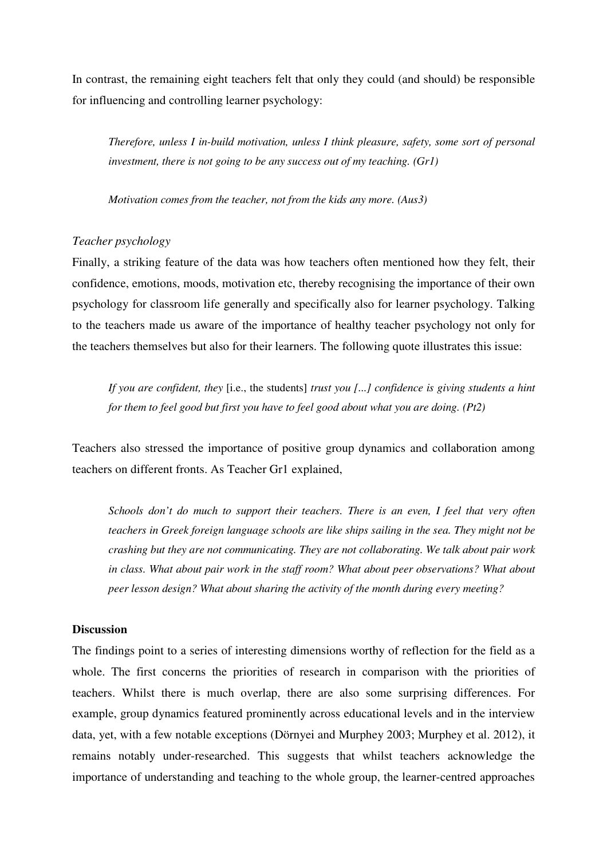In contrast, the remaining eight teachers felt that only they could (and should) be responsible for influencing and controlling learner psychology:

*Therefore, unless I in-build motivation, unless I think pleasure, safety, some sort of personal investment, there is not going to be any success out of my teaching. (Gr1)* 

*Motivation comes from the teacher, not from the kids any more. (Aus3)* 

## *Teacher psychology*

Finally, a striking feature of the data was how teachers often mentioned how they felt, their confidence, emotions, moods, motivation etc, thereby recognising the importance of their own psychology for classroom life generally and specifically also for learner psychology. Talking to the teachers made us aware of the importance of healthy teacher psychology not only for the teachers themselves but also for their learners. The following quote illustrates this issue:

*If you are confident, they* [i.e., the students] *trust you [...] confidence is giving students a hint for them to feel good but first you have to feel good about what you are doing. (Pt2)* 

Teachers also stressed the importance of positive group dynamics and collaboration among teachers on different fronts. As Teacher Gr1 explained,

*Schools don't do much to support their teachers. There is an even, I feel that very often teachers in Greek foreign language schools are like ships sailing in the sea. They might not be crashing but they are not communicating. They are not collaborating. We talk about pair work*  in class. What about pair work in the staff room? What about peer observations? What about *peer lesson design? What about sharing the activity of the month during every meeting?* 

## **Discussion**

The findings point to a series of interesting dimensions worthy of reflection for the field as a whole. The first concerns the priorities of research in comparison with the priorities of teachers. Whilst there is much overlap, there are also some surprising differences. For example, group dynamics featured prominently across educational levels and in the interview data, yet, with a few notable exceptions (Dörnyei and Murphey 2003; Murphey et al. 2012), it remains notably under-researched. This suggests that whilst teachers acknowledge the importance of understanding and teaching to the whole group, the learner-centred approaches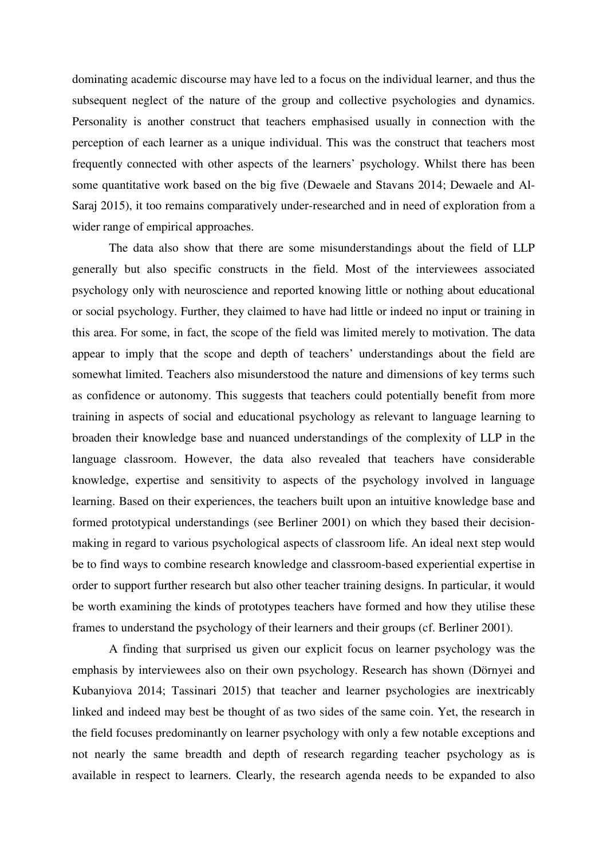dominating academic discourse may have led to a focus on the individual learner, and thus the subsequent neglect of the nature of the group and collective psychologies and dynamics. Personality is another construct that teachers emphasised usually in connection with the perception of each learner as a unique individual. This was the construct that teachers most frequently connected with other aspects of the learners' psychology. Whilst there has been some quantitative work based on the big five (Dewaele and Stavans 2014; Dewaele and Al-Saraj 2015), it too remains comparatively under-researched and in need of exploration from a wider range of empirical approaches.

The data also show that there are some misunderstandings about the field of LLP generally but also specific constructs in the field. Most of the interviewees associated psychology only with neuroscience and reported knowing little or nothing about educational or social psychology. Further, they claimed to have had little or indeed no input or training in this area. For some, in fact, the scope of the field was limited merely to motivation. The data appear to imply that the scope and depth of teachers' understandings about the field are somewhat limited. Teachers also misunderstood the nature and dimensions of key terms such as confidence or autonomy. This suggests that teachers could potentially benefit from more training in aspects of social and educational psychology as relevant to language learning to broaden their knowledge base and nuanced understandings of the complexity of LLP in the language classroom. However, the data also revealed that teachers have considerable knowledge, expertise and sensitivity to aspects of the psychology involved in language learning. Based on their experiences, the teachers built upon an intuitive knowledge base and formed prototypical understandings (see Berliner 2001) on which they based their decisionmaking in regard to various psychological aspects of classroom life. An ideal next step would be to find ways to combine research knowledge and classroom-based experiential expertise in order to support further research but also other teacher training designs. In particular, it would be worth examining the kinds of prototypes teachers have formed and how they utilise these frames to understand the psychology of their learners and their groups (cf. Berliner 2001).

A finding that surprised us given our explicit focus on learner psychology was the emphasis by interviewees also on their own psychology. Research has shown (Dörnyei and Kubanyiova 2014; Tassinari 2015) that teacher and learner psychologies are inextricably linked and indeed may best be thought of as two sides of the same coin. Yet, the research in the field focuses predominantly on learner psychology with only a few notable exceptions and not nearly the same breadth and depth of research regarding teacher psychology as is available in respect to learners. Clearly, the research agenda needs to be expanded to also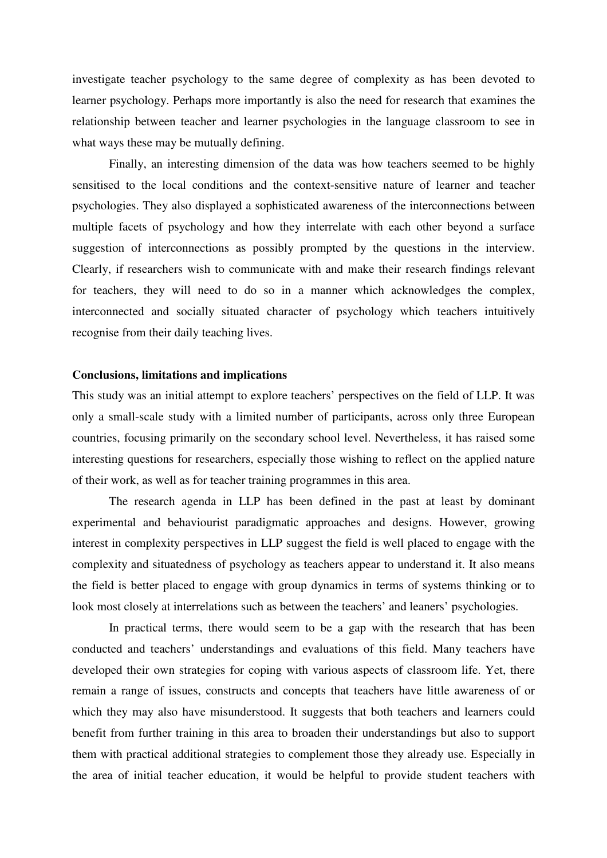investigate teacher psychology to the same degree of complexity as has been devoted to learner psychology. Perhaps more importantly is also the need for research that examines the relationship between teacher and learner psychologies in the language classroom to see in what ways these may be mutually defining.

Finally, an interesting dimension of the data was how teachers seemed to be highly sensitised to the local conditions and the context-sensitive nature of learner and teacher psychologies. They also displayed a sophisticated awareness of the interconnections between multiple facets of psychology and how they interrelate with each other beyond a surface suggestion of interconnections as possibly prompted by the questions in the interview. Clearly, if researchers wish to communicate with and make their research findings relevant for teachers, they will need to do so in a manner which acknowledges the complex, interconnected and socially situated character of psychology which teachers intuitively recognise from their daily teaching lives.

#### **Conclusions, limitations and implications**

This study was an initial attempt to explore teachers' perspectives on the field of LLP. It was only a small-scale study with a limited number of participants, across only three European countries, focusing primarily on the secondary school level. Nevertheless, it has raised some interesting questions for researchers, especially those wishing to reflect on the applied nature of their work, as well as for teacher training programmes in this area.

The research agenda in LLP has been defined in the past at least by dominant experimental and behaviourist paradigmatic approaches and designs. However, growing interest in complexity perspectives in LLP suggest the field is well placed to engage with the complexity and situatedness of psychology as teachers appear to understand it. It also means the field is better placed to engage with group dynamics in terms of systems thinking or to look most closely at interrelations such as between the teachers' and leaners' psychologies.

In practical terms, there would seem to be a gap with the research that has been conducted and teachers' understandings and evaluations of this field. Many teachers have developed their own strategies for coping with various aspects of classroom life. Yet, there remain a range of issues, constructs and concepts that teachers have little awareness of or which they may also have misunderstood. It suggests that both teachers and learners could benefit from further training in this area to broaden their understandings but also to support them with practical additional strategies to complement those they already use. Especially in the area of initial teacher education, it would be helpful to provide student teachers with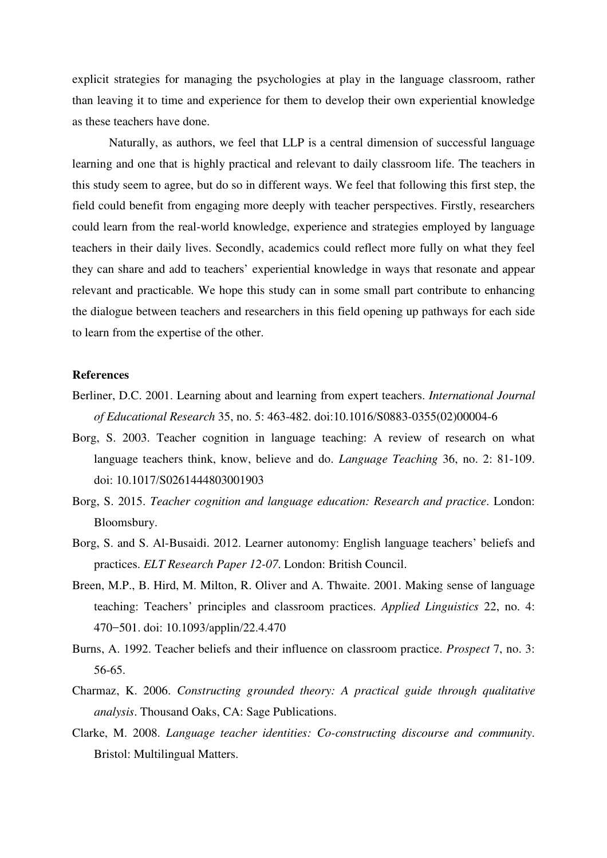explicit strategies for managing the psychologies at play in the language classroom, rather than leaving it to time and experience for them to develop their own experiential knowledge as these teachers have done.

Naturally, as authors, we feel that LLP is a central dimension of successful language learning and one that is highly practical and relevant to daily classroom life. The teachers in this study seem to agree, but do so in different ways. We feel that following this first step, the field could benefit from engaging more deeply with teacher perspectives. Firstly, researchers could learn from the real-world knowledge, experience and strategies employed by language teachers in their daily lives. Secondly, academics could reflect more fully on what they feel they can share and add to teachers' experiential knowledge in ways that resonate and appear relevant and practicable. We hope this study can in some small part contribute to enhancing the dialogue between teachers and researchers in this field opening up pathways for each side to learn from the expertise of the other.

### **References**

- Berliner, D.C. 2001. Learning about and learning from expert teachers. *International Journal of Educational Research* 35, no. 5: 463-482. doi:10.1016/S0883-0355(02)00004-6
- Borg, S. 2003. Teacher cognition in language teaching: A review of research on what language teachers think, know, believe and do. *Language Teaching* 36, no. 2: 81-109. doi: 10.1017/S0261444803001903
- Borg, S. 2015. *Teacher cognition and language education: Research and practice*. London: Bloomsbury.
- Borg, S. and S. Al-Busaidi. 2012. Learner autonomy: English language teachers' beliefs and practices. *ELT Research Paper 12-07*. London: British Council.
- Breen, M.P., B. Hird, M. Milton, R. Oliver and A. Thwaite. 2001. Making sense of language teaching: Teachers' principles and classroom practices. *Applied Linguistics* 22, no. 4: 470−501. doi: 10.1093/applin/22.4.470
- Burns, A. 1992. Teacher beliefs and their influence on classroom practice. *Prospect* 7, no. 3: 56-65.
- Charmaz, K. 2006. *Constructing grounded theory: A practical guide through qualitative analysis*. Thousand Oaks, CA: Sage Publications.
- Clarke, M. 2008. *Language teacher identities: Co-constructing discourse and community*. Bristol: Multilingual Matters.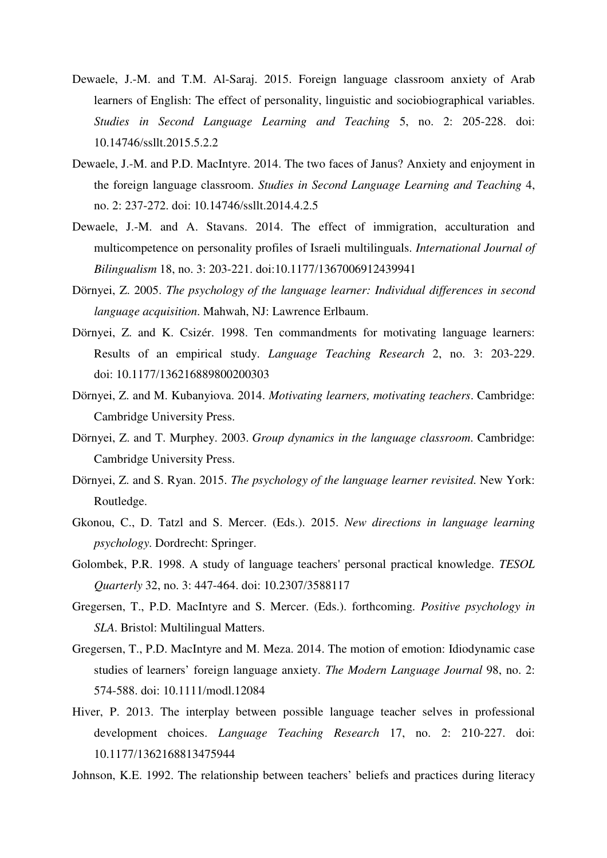- Dewaele, J.-M. and T.M. Al-Saraj. 2015. Foreign language classroom anxiety of Arab learners of English: The effect of personality, linguistic and sociobiographical variables. *Studies in Second Language Learning and Teaching* 5, no. 2: 205-228. doi: 10.14746/ssllt.2015.5.2.2
- Dewaele, J.-M. and P.D. MacIntyre. 2014. The two faces of Janus? Anxiety and enjoyment in the foreign language classroom. *Studies in Second Language Learning and Teaching* 4, no. 2: 237-272. doi: 10.14746/ssllt.2014.4.2.5
- Dewaele, J.-M. and A. Stavans. 2014. The effect of immigration, acculturation and multicompetence on personality profiles of Israeli multilinguals. *International Journal of Bilingualism* 18, no. 3: 203-221. doi:10.1177/1367006912439941
- Dörnyei, Z. 2005. *The psychology of the language learner: Individual differences in second language acquisition*. Mahwah, NJ: Lawrence Erlbaum.
- Dörnyei, Z. and K. Csizér. 1998. Ten commandments for motivating language learners: Results of an empirical study. *Language Teaching Research* 2, no. 3: 203-229. doi: 10.1177/136216889800200303
- Dörnyei, Z. and M. Kubanyiova. 2014. *Motivating learners, motivating teachers*. Cambridge: Cambridge University Press.
- Dörnyei, Z. and T. Murphey. 2003. *Group dynamics in the language classroom*. Cambridge: Cambridge University Press.
- Dörnyei, Z. and S. Ryan. 2015. *The psychology of the language learner revisited*. New York: Routledge.
- Gkonou, C., D. Tatzl and S. Mercer. (Eds.). 2015. *New directions in language learning psychology*. Dordrecht: Springer.
- Golombek, P.R. 1998. A study of language teachers' personal practical knowledge. *TESOL Quarterly* 32, no. 3: 447-464. doi: 10.2307/3588117
- Gregersen, T., P.D. MacIntyre and S. Mercer. (Eds.). forthcoming. *Positive psychology in SLA*. Bristol: Multilingual Matters.
- Gregersen, T., P.D. MacIntyre and M. Meza. 2014. The motion of emotion: Idiodynamic case studies of learners' foreign language anxiety. *The Modern Language Journal* 98, no. 2: 574-588. doi: 10.1111/modl.12084
- Hiver, P. 2013. The interplay between possible language teacher selves in professional development choices. *Language Teaching Research* 17, no. 2: 210-227. doi: 10.1177/1362168813475944
- Johnson, K.E. 1992. The relationship between teachers' beliefs and practices during literacy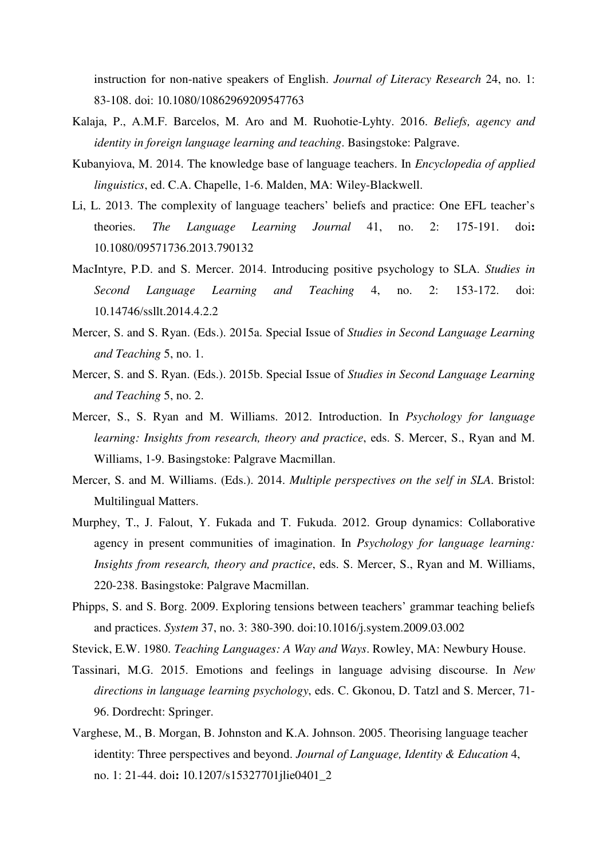instruction for non-native speakers of English. *Journal of Literacy Research* 24, no. 1: 83-108. doi: 10.1080/10862969209547763

- Kalaja, P., A.M.F. Barcelos, M. Aro and M. Ruohotie-Lyhty. 2016. *Beliefs, agency and identity in foreign language learning and teaching*. Basingstoke: Palgrave.
- Kubanyiova, M. 2014. The knowledge base of language teachers. In *Encyclopedia of applied linguistics*, ed. C.A. Chapelle, 1-6. Malden, MA: Wiley-Blackwell.
- Li, L. 2013. The complexity of language teachers' beliefs and practice: One EFL teacher's theories. *The Language Learning Journal* 41, no. 2: 175-191. doi**:**  10.1080/09571736.2013.790132
- MacIntyre, P.D. and S. Mercer. 2014. Introducing positive psychology to SLA. *Studies in Second Language Learning and Teaching* 4, no. 2: 153-172. doi: 10.14746/ssllt.2014.4.2.2
- Mercer, S. and S. Ryan. (Eds.). 2015a. Special Issue of *Studies in Second Language Learning and Teaching* 5, no. 1.
- Mercer, S. and S. Ryan. (Eds.). 2015b. Special Issue of *Studies in Second Language Learning and Teaching* 5, no. 2.
- Mercer, S., S. Ryan and M. Williams. 2012. Introduction. In *Psychology for language learning: Insights from research, theory and practice*, eds. S. Mercer, S., Ryan and M. Williams, 1-9. Basingstoke: Palgrave Macmillan.
- Mercer, S. and M. Williams. (Eds.). 2014. *Multiple perspectives on the self in SLA*. Bristol: Multilingual Matters.
- Murphey, T., J. Falout, Y. Fukada and T. Fukuda. 2012. Group dynamics: Collaborative agency in present communities of imagination. In *Psychology for language learning: Insights from research, theory and practice*, eds. S. Mercer, S., Ryan and M. Williams, 220-238. Basingstoke: Palgrave Macmillan.
- Phipps, S. and S. Borg. 2009. Exploring tensions between teachers' grammar teaching beliefs and practices. *System* 37, no. 3: 380-390. doi:10.1016/j.system.2009.03.002
- Stevick, E.W. 1980. *Teaching Languages: A Way and Ways*. Rowley, MA: Newbury House.
- Tassinari, M.G. 2015. Emotions and feelings in language advising discourse. In *New directions in language learning psychology*, eds. C. Gkonou, D. Tatzl and S. Mercer, 71- 96. Dordrecht: Springer.
- Varghese, M., B. Morgan, B. Johnston and K.A. Johnson. 2005. Theorising language teacher identity: Three perspectives and beyond. *Journal of Language, Identity & Education* 4, no. 1: 21-44. doi**:** 10.1207/s15327701jlie0401\_2